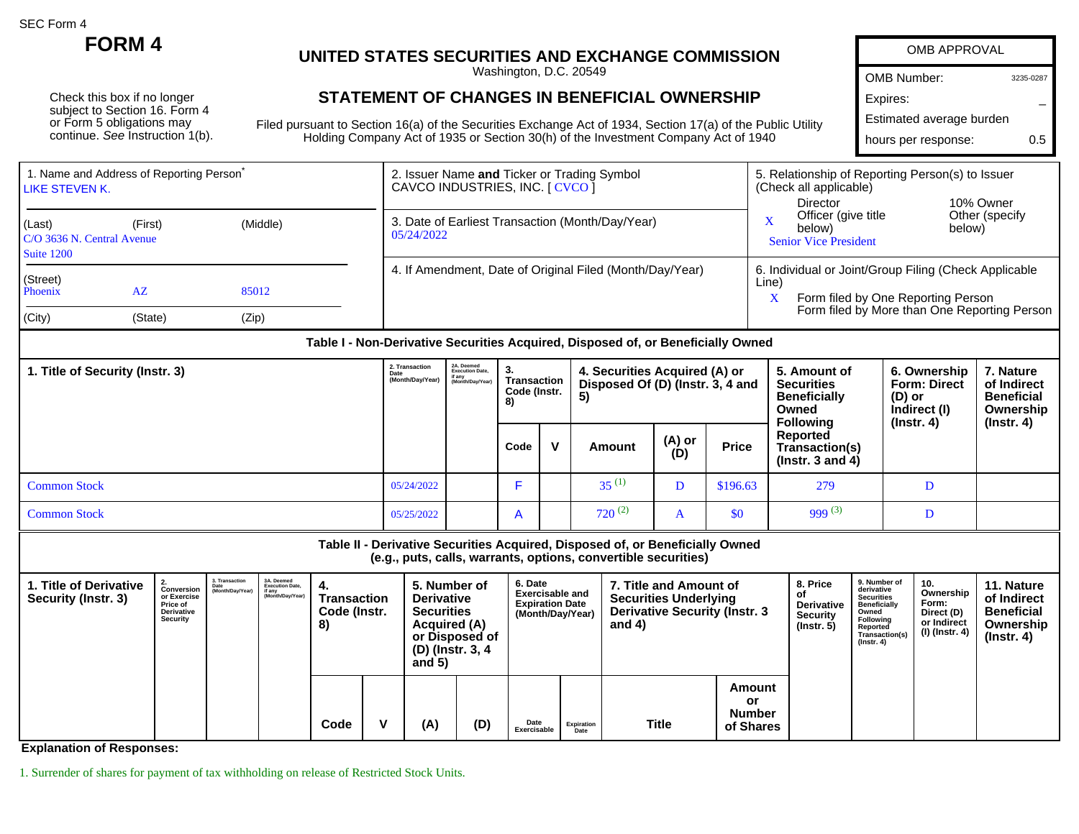SEC Form 4

Check this box if no longer subject to Section 16. Form 4 or Form 5 obligations may continue. See Instruction 1(b).

## **FORM 4 UNITED STATES SECURITIES AND EXCHANGE COMMISSION**

Washington, D.C. 20549

## **STATEMENT OF CHANGES IN BENEFICIAL OWNERSHIP**

Filed pursuant to Section 16(a) of the Securities Exchange Act of 1934, Section 17(a) of the Public Utility Holding Company Act of 1935 or Section 30(h) of the Investment Company Act of 1940

| OMB APPROVAL             |           |
|--------------------------|-----------|
| <b>OMB Number:</b>       | 3235-0287 |
| Expires:                 |           |
| Estimated average burden |           |
| hours per response:      | 05        |

| Director<br>Officer (give title<br>3. Date of Earliest Transaction (Month/Day/Year)<br>(Last)<br>(Middle)<br>(First)                               | 5. Relationship of Reporting Person(s) to Issuer<br>(Check all applicable)                                                                  |  |  |  |
|----------------------------------------------------------------------------------------------------------------------------------------------------|---------------------------------------------------------------------------------------------------------------------------------------------|--|--|--|
| below)<br>05/24/2022<br>C/O 3636 N. Central Avenue<br><b>Senior Vice President</b><br>Suite 1200                                                   | 10% Owner<br>Other (specify)<br>below)                                                                                                      |  |  |  |
| 4. If Amendment, Date of Original Filed (Month/Day/Year)<br>(Street)<br>Line)<br>Phoenix<br>$A\overline{Z}$<br>85012<br>(City)<br>(Zip)<br>(State) | 6. Individual or Joint/Group Filing (Check Applicable<br>Form filed by One Reporting Person<br>Form filed by More than One Reporting Person |  |  |  |

## **Table I - Non-Derivative Securities Acquired, Disposed of, or Beneficially Owned**

| 1. Title of Security (Instr. 3) |            | 2A. Deemed<br>Execution Date,<br>if any<br>(Month/Day/Year) | 3.<br>Transaction<br>Code (Instr.<br>8) |              | 4. Securities Acquired (A) or<br>Disposed Of (D) (Instr. 3, 4 and<br>5) |               |              | 5. Amount of<br><b>Securities</b><br><b>Beneficially</b><br>Owned<br><b>Following</b> | 6. Ownership<br><b>Form: Direct</b><br>(D) or<br>Indirect (I)<br>$($ lnstr. 4 $)$ | 7. Nature<br>of Indirect<br><b>Beneficial</b><br>Ownership<br>(Instr. 4) |
|---------------------------------|------------|-------------------------------------------------------------|-----------------------------------------|--------------|-------------------------------------------------------------------------|---------------|--------------|---------------------------------------------------------------------------------------|-----------------------------------------------------------------------------------|--------------------------------------------------------------------------|
|                                 |            |                                                             | Code                                    | $\mathbf{v}$ | Amount                                                                  | (A) or<br>(D) | <b>Price</b> | Reported<br>Transaction(s)<br>$($ lnstr. 3 and 4 $)$                                  |                                                                                   |                                                                          |
| <b>Common Stock</b>             | 05/24/2022 |                                                             |                                         |              | $35^{(1)}$                                                              |               | \$196.63     | 279                                                                                   |                                                                                   |                                                                          |
| <b>Common Stock</b>             | 05/25/2022 |                                                             | $\overline{A}$                          |              | $720^{(2)}$                                                             | A             | \$0          | 999 $(3)$                                                                             |                                                                                   |                                                                          |

## **Table II - Derivative Securities Acquired, Disposed of, or Beneficially Owned (e.g., puts, calls, warrants, options, convertible securities) 1. Title of Derivative Security (Instr. 3) 2. Conversion or Exercise Price of Derivative Security 3. Transaction Date (Month/Day/Year) 3A. Deemed Execution Date, if any (Month/Day/Year) 4. Transaction Code (Instr. 8) 5. Number of Derivative Securities Acquired (A) or Disposed of (D) (Instr. 3, 4 and 5) 6. Date Exercisable and Expiration Date (Month/Day/Year) 7. Title and Amount of Securities Underlying Derivative Security (Instr. 3 and 4) 8. Price of Derivative Security (Instr. 5) 9. Number of derivative Securities Beneficially Owned Following Reported Transaction(s) (Instr. 4) 10. Ownership Form: Direct (D) or Indirect (I) (Instr. 4) 11. Nature of Indirect Beneficial Ownership (Instr. 4) Code V (A) (D) Date Expiration Date Title Amount or Number of Shares**

**Exercisable**

**Explanation of Responses:**

1. Surrender of shares for payment of tax withholding on release of Restricted Stock Units.